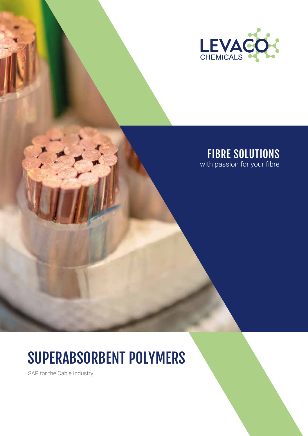

# FIBRE SOLUTIONS

with passion for your fibre

# SUPERABSORBENT POLYMERS

SAP for the Cable Industry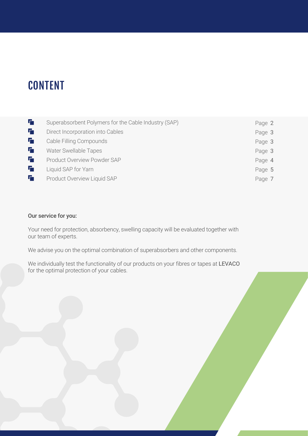### **CONTENT**

| Гŋ | Superabsorbent Polymers for the Cable Industry (SAP) | Page 2 |
|----|------------------------------------------------------|--------|
| TП | Direct Incorporation into Cables                     | Page 3 |
| 石  | Cable Filling Compounds                              | Page 3 |
| Tп | <b>Water Swellable Tapes</b>                         | Page 3 |
| 石  | Product Overview Powder SAP                          | Page 4 |
| 石  | Liquid SAP for Yarn                                  | Page 5 |
| г, | Product Overview Liquid SAP                          | Page 7 |
|    |                                                      |        |

#### Our service for you:

Your need for protection, absorbency, swelling capacity will be evaluated together with our team of experts.

We advise you on the optimal combination of superabsorbers and other components.

We individually test the functionality of our products on your fibres or tapes at LEVACO for the optimal protection of your cables.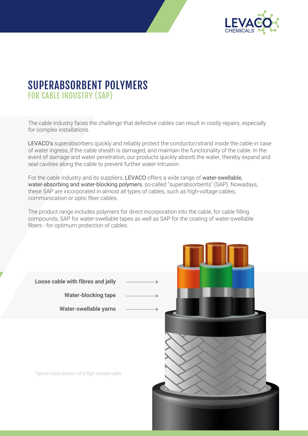

### SUPERABSORBENT POLYMERS FOR CABLE INDUSTRY (SAP)

The cable industry faces the challenge that defective cables can result in costly repairs, especially for complex installations.

LEVACO's superabsorbers quickly and reliably protect the conductor/strand inside the cable in case of water ingress, if the cable sheath is damaged, and maintain the functionality of the cable. In the event of damage and water penetration, our products quickly absorb the water, thereby expand and seal cavities along the cable to prevent further water intrusion.

For the cable industry and its suppliers, LEVACO offers a wide range of water-swellable, water-absorbing and water-blocking polymers, so-called "superabsorbents" (SAP). Nowadays, these SAP are incorporated in almost all types of cables, such as high-voltage cables, communication or optic fiber cables.

The product range includes polymers for direct incorporation into the cable, for cable filling compounds, SAP for water-swellable tapes as well as SAP for the coating of water-swellable fibers - for optimum protection of cables.

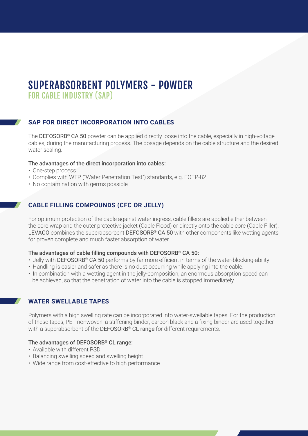# SUPERABSORBENT POLYMERS - POWDER

FOR CABLE INDUSTRY (SAP)

#### **SAP FOR DIRECT INCORPORATION INTO CABLES**

The DEFOSORB<sup>®</sup> CA 50 powder can be applied directly loose into the cable, especially in high-voltage cables, during the manufacturing process. The dosage depends on the cable structure and the desired water sealing.

#### The advantages of the direct incorporation into cables:

- One-step process
- Complies with WTP ("Water Penetration Test") standards, e.g. FOTP-82
- No contamination with germs possible

#### **CABLE FILLING COMPOUNDS (CFC OR JELLY)**

For optimum protection of the cable against water ingress, cable fillers are applied either between the core wrap and the outer protective jacket (Cable Flood) or directly onto the cable core (Cable Filler). LEVACO combines the superabsorbent DEFOSORB® CA 50 with other components like wetting agents for proven complete and much faster absorption of water.

#### The advantages of cable filling compounds with DEFOSORB® CA 50:

- Jelly with DEFOSORB® CA 50 performs by far more efficient in terms of the water-blocking-ability.
- Handling is easier and safer as there is no dust occurring while applying into the cable.
- In combination with a wetting agent in the jelly-composition, an enormous absorption speed can be achieved, so that the penetration of water into the cable is stopped immediately.

#### **WATER SWELLABLE TAPES**

Polymers with a high swelling rate can be incorporated into water-swellable tapes. For the production of these tapes, PET nonwoven, a stiffening binder, carbon black and a fixing binder are used together with a superabsorbent of the DEFOSORB<sup>®</sup> CL range for different requirements.

#### The advantages of DEFOSORB® CL range:

- Available with different PSD
- Balancing swelling speed and swelling height
- Wide range from cost-effective to high performance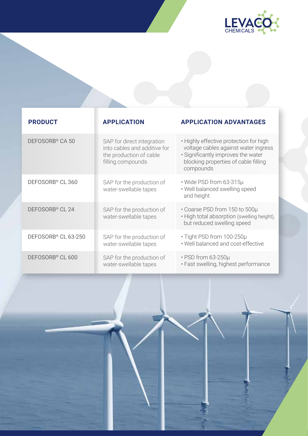

| <b>PRODUCT</b>                  | <b>APPLICATION</b>                                                                                         | <b>APPLICATION ADVANTAGES</b>                                                                                                                                             |
|---------------------------------|------------------------------------------------------------------------------------------------------------|---------------------------------------------------------------------------------------------------------------------------------------------------------------------------|
| DEFOSORB <sup>®</sup> CA 50     | SAP for direct integration<br>into cables and additive for<br>the production of cable<br>filling compounds | • Highly effective protection for high<br>voltage cables against water ingress<br>• Significantly improves the water<br>blocking properties of cable filling<br>compounds |
| DEFOSORB <sup>®</sup> CL 360    | SAP for the production of<br>water-swellable tapes                                                         | • Wide PSD from 63-315µ<br>. Well balanced swelling speed<br>and height                                                                                                   |
| DEFOSORB <sup>®</sup> CL 24     | SAP for the production of<br>water-swellable tapes                                                         | • Coarse PSD from 150 to 500µ<br>. High total absorption (swelling height),<br>but reduced swelling speed                                                                 |
| DEFOSORB <sup>®</sup> CL 63-250 | SAP for the production of<br>water-swellable tapes                                                         | • Tight PSD from 100-250µ<br>. Well balanced and cost-effective                                                                                                           |
| DEFOSORB <sup>®</sup> CL 600    | SAP for the production of<br>water-swellable tapes                                                         | • PSD from 63-250µ<br>· Fast swelling, highest performance                                                                                                                |

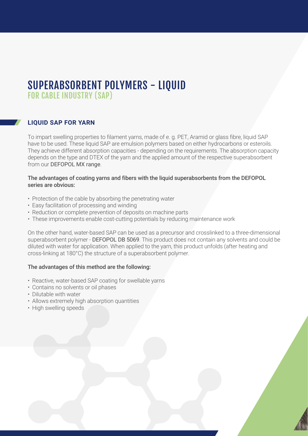### SUPERABSORBENT POLYMERS - LIQUID FOR CABLE INDUSTRY (SAP)

#### **LIQUID SAP FOR YARN**

To impart swelling properties to filament yarns, made of e. g. PET, Aramid or glass fibre, liquid SAP have to be used. These liquid SAP are emulsion polymers based on either hydrocarbons or esteroils. They achieve different absorption capacities - depending on the requirements. The absorption capacity depends on the type and DTEX of the yarn and the applied amount of the respective superabsorbent from our DEFOPOL MX range.

#### The advantages of coating yarns and fibers with the liquid superabsorbents from the DEFOPOL series are obvious:

- Protection of the cable by absorbing the penetrating water
- Easy facilitation of processing and winding
- Reduction or complete prevention of deposits on machine parts
- These improvements enable cost-cutting potentials by reducing maintenance work

On the other hand, water-based SAP can be used as a precursor and crosslinked to a three-dimensional superabsorbent polymer - DEFOPOL DB 5069. This product does not contain any solvents and could be diluted with water for application. When applied to the yarn, this product unfolds (after heating and cross-linking at 180°C) the structure of a superabsorbent polymer.

#### The advantages of this method are the following:

- Reactive, water-based SAP coating for swellable yarns
- Contains no solvents or oil phases
- Dilutable with water
- Allows extremely high absorption quantities
- High swelling speeds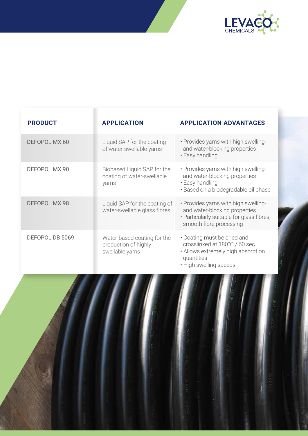

| <b>PRODUCT</b>       | <b>APPLICATION</b>                                                     | <b>APPLICATION ADVANTAGES</b>                                                                                                                 |
|----------------------|------------------------------------------------------------------------|-----------------------------------------------------------------------------------------------------------------------------------------------|
| DEFOPOL MX 60        | Liquid SAP for the coating<br>of water-swellable yarns                 | · Provides yarns with high swelling-<br>and water-blocking properties<br>• Easy handling                                                      |
| DEFOPOL MX 90        | Biobased Liquid SAP for the<br>coating of water-swellable<br>yarns     | . Provides yarns with high swelling-<br>and water-blocking properties<br>• Easy handling<br>· Based on a biodegradable oil phase              |
| <b>DEFOPOL MX 98</b> | Liquid SAP for the coating of<br>water-swellable glass fibres          | . Provides yarns with high swelling-<br>and water-blocking properties<br>• Particularly suitable for glass fibres,<br>smooth fibre processing |
| DEFOPOL DB 5069      | Water-based coating for the<br>production of highly<br>swellable yarns | • Coating must be dried and<br>crosslinked at 180°C / 60 sec.<br>• Allows extremely high absorption<br>quantities<br>• High swelling speeds   |